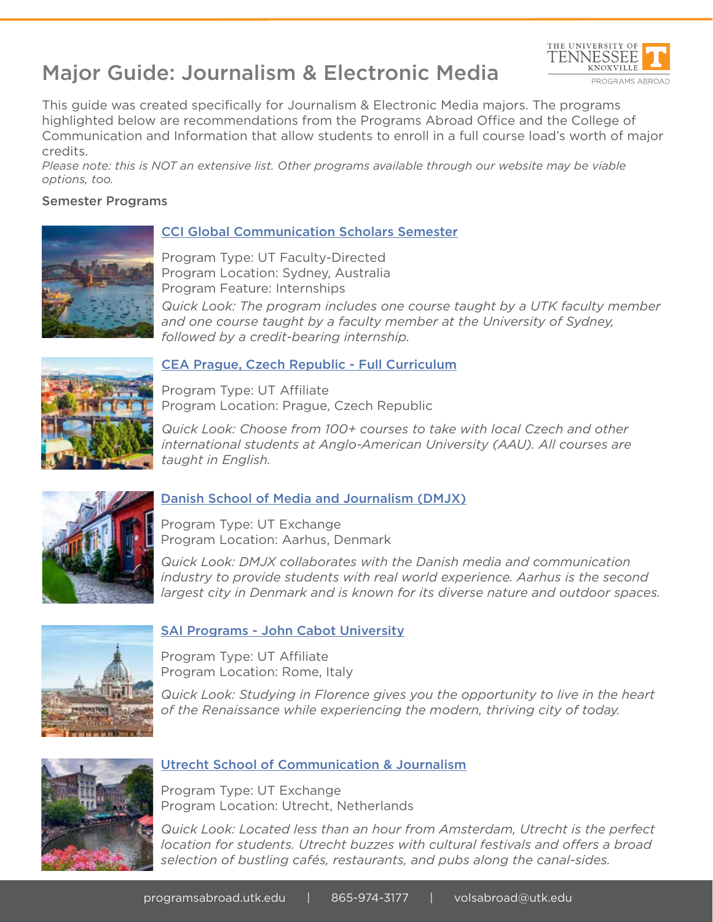# Major Guide: Journalism & Electronic Media



This guide was created specifically for Journalism & Electronic Media majors. The programs highlighted below are recommendations from the Programs Abroad Office and the College of Communication and Information that allow students to enroll in a full course load's worth of major credits.

*Please note: this is NOT an extensive list. Other programs available through our website may be viable options, too.*

### Semester Programs



### CCI Global Communication Scholars Semester

Program Type: UT Faculty-Directed Program Location: Sydney, Australia Program Feature: Internships

*Quick Look: The program includes one course taught by a UTK faculty member and one course taught by a faculty member at the University of Sydney, followed by a credit-bearing internship.*



### CEA Prague, Czech Republic - Full Curriculum

Program Type: UT Affiliate Program Location: Prague, Czech Republic

*Quick Look: Choose from 100+ courses to take with local Czech and other international students at Anglo-American University (AAU). All courses are taught in English.* 



# Danish School of Media and Journalism (DMJX)

Program Type: UT Exchange Program Location: Aarhus, Denmark

*Quick Look: DMJX collaborates with the Danish media and communication industry to provide students with real world experience. Aarhus is the second largest city in Denmark and is known for its diverse nature and outdoor spaces.*



# SAI Programs - John Cabot University

Program Type: UT Affiliate Program Location: Rome, Italy

*Quick Look: Studying in Florence gives you the opportunity to live in the heart of the Renaissance while experiencing the modern, thriving city of today.*



### Utrecht School of Communication & Journalism

Program Type: UT Exchange Program Location: Utrecht, Netherlands

*Quick Look: Located less than an hour from Amsterdam, Utrecht is the perfect location for students. Utrecht buzzes with cultural festivals and offers a broad selection of bustling cafés, restaurants, and pubs along the canal-sides.*